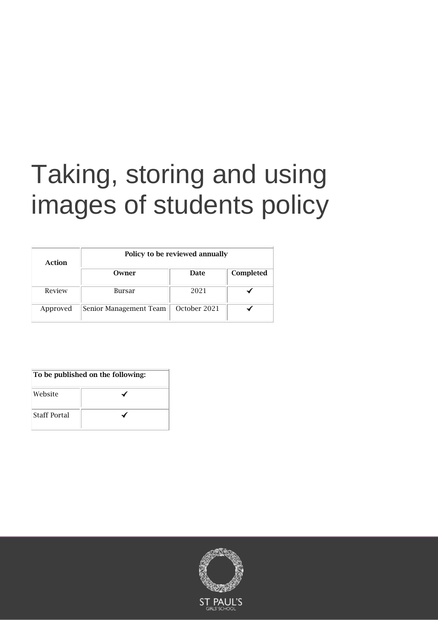# Taking, storing and using images of students policy

| Action   | Policy to be reviewed annually |              |           |
|----------|--------------------------------|--------------|-----------|
|          | Owner                          | <b>Date</b>  | Completed |
| Review   | <b>Bursar</b>                  | 2021         |           |
| Approved | Senior Management Team         | October 2021 |           |

| To be published on the following: |  |  |
|-----------------------------------|--|--|
| Website                           |  |  |
| <b>Staff Portal</b>               |  |  |

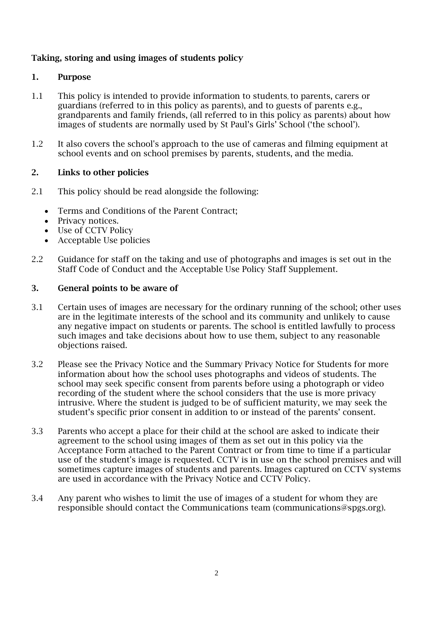# Taking, storing and using images of students policy

## 1. Purpose

- 1.1 This policy is intended to provide information to students, to parents, carers or guardians (referred to in this policy as parents), and to guests of parents e.g., grandparents and family friends, (all referred to in this policy as parents) about how images of students are normally used by St Paul's Girls' School ('the school').
- 1.2 It also covers the school's approach to the use of cameras and filming equipment at school events and on school premises by parents, students, and the media.

## 2. Links to other policies

- 2.1 This policy should be read alongside the following:
	- Terms and Conditions of the Parent Contract;
	- Privacy notices.
	- Use of CCTV Policy
	- Acceptable Use policies
- 2.2 Guidance for staff on the taking and use of photographs and images is set out in the Staff Code of Conduct and the Acceptable Use Policy Staff Supplement.

#### 3. General points to be aware of

- 3.1 Certain uses of images are necessary for the ordinary running of the school; other uses are in the legitimate interests of the school and its community and unlikely to cause any negative impact on students or parents. The school is entitled lawfully to process such images and take decisions about how to use them, subject to any reasonable objections raised.
- 3.2 Please see the Privacy Notice and the Summary Privacy Notice for Students for more information about how the school uses photographs and videos of students. The school may seek specific consent from parents before using a photograph or video recording of the student where the school considers that the use is more privacy intrusive. Where the student is judged to be of sufficient maturity, we may seek the student's specific prior consent in addition to or instead of the parents' consent.
- 3.3 Parents who accept a place for their child at the school are asked to indicate their agreement to the school using images of them as set out in this policy via the Acceptance Form attached to the Parent Contract or from time to time if a particular use of the student's image is requested. CCTV is in use on the school premises and will sometimes capture images of students and parents. Images captured on CCTV systems are used in accordance with the Privacy Notice and CCTV Policy.
- 3.4 Any parent who wishes to limit the use of images of a student for whom they are responsible should contact the Communications team (communications@spgs.org).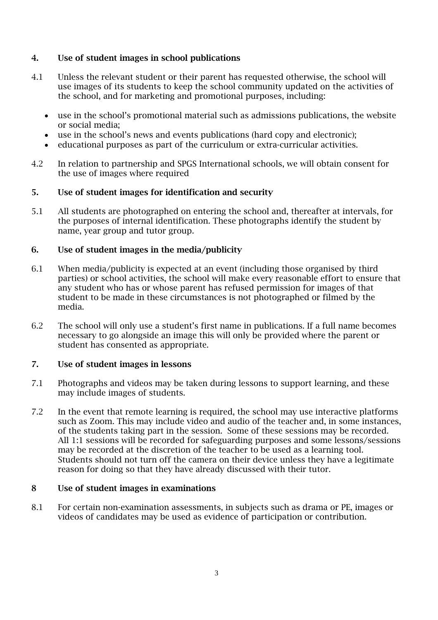# 4. Use of student images in school publications

- 4.1 Unless the relevant student or their parent has requested otherwise, the school will use images of its students to keep the school community updated on the activities of the school, and for marketing and promotional purposes, including:
	- use in the school's promotional material such as admissions publications, the website or social media;
	- use in the school's news and events publications (hard copy and electronic);
	- educational purposes as part of the curriculum or extra-curricular activities.
- 4.2 In relation to partnership and SPGS International schools, we will obtain consent for the use of images where required

# 5. Use of student images for identification and security

5.1 All students are photographed on entering the school and, thereafter at intervals, for the purposes of internal identification. These photographs identify the student by name, year group and tutor group.

## 6. Use of student images in the media/publicity

- 6.1 When media/publicity is expected at an event (including those organised by third parties) or school activities, the school will make every reasonable effort to ensure that any student who has or whose parent has refused permission for images of that student to be made in these circumstances is not photographed or filmed by the media.
- 6.2 The school will only use a student's first name in publications. If a full name becomes necessary to go alongside an image this will only be provided where the parent or student has consented as appropriate.

#### 7. Use of student images in lessons

- 7.1 Photographs and videos may be taken during lessons to support learning, and these may include images of students.
- 7.2 In the event that remote learning is required, the school may use interactive platforms such as Zoom. This may include video and audio of the teacher and, in some instances, of the students taking part in the session. Some of these sessions may be recorded. All 1:1 sessions will be recorded for safeguarding purposes and some lessons/sessions may be recorded at the discretion of the teacher to be used as a learning tool. Students should not turn off the camera on their device unless they have a legitimate reason for doing so that they have already discussed with their tutor.

# 8 Use of student images in examinations

8.1 For certain non-examination assessments, in subjects such as drama or PE, images or videos of candidates may be used as evidence of participation or contribution.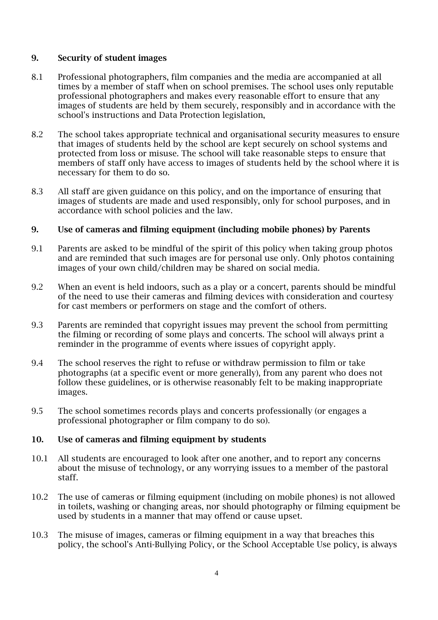## 9. Security of student images

- 8.1 Professional photographers, film companies and the media are accompanied at all times by a member of staff when on school premises. The school uses only reputable professional photographers and makes every reasonable effort to ensure that any images of students are held by them securely, responsibly and in accordance with the school's instructions and Data Protection legislation,
- 8.2 The school takes appropriate technical and organisational security measures to ensure that images of students held by the school are kept securely on school systems and protected from loss or misuse. The school will take reasonable steps to ensure that members of staff only have access to images of students held by the school where it is necessary for them to do so.
- 8.3 All staff are given guidance on this policy, and on the importance of ensuring that images of students are made and used responsibly, only for school purposes, and in accordance with school policies and the law.

# 9. Use of cameras and filming equipment (including mobile phones) by Parents

- 9.1 Parents are asked to be mindful of the spirit of this policy when taking group photos and are reminded that such images are for personal use only. Only photos containing images of your own child/children may be shared on social media.
- 9.2 When an event is held indoors, such as a play or a concert, parents should be mindful of the need to use their cameras and filming devices with consideration and courtesy for cast members or performers on stage and the comfort of others.
- 9.3 Parents are reminded that copyright issues may prevent the school from permitting the filming or recording of some plays and concerts. The school will always print a reminder in the programme of events where issues of copyright apply.
- 9.4 The school reserves the right to refuse or withdraw permission to film or take photographs (at a specific event or more generally), from any parent who does not follow these guidelines, or is otherwise reasonably felt to be making inappropriate images.
- 9.5 The school sometimes records plays and concerts professionally (or engages a professional photographer or film company to do so).

#### 10. Use of cameras and filming equipment by students

- 10.1 All students are encouraged to look after one another, and to report any concerns about the misuse of technology, or any worrying issues to a member of the pastoral staff.
- 10.2 The use of cameras or filming equipment (including on mobile phones) is not allowed in toilets, washing or changing areas, nor should photography or filming equipment be used by students in a manner that may offend or cause upset.
- 10.3 The misuse of images, cameras or filming equipment in a way that breaches this policy, the school's Anti-Bullying Policy, or the School Acceptable Use policy, is always